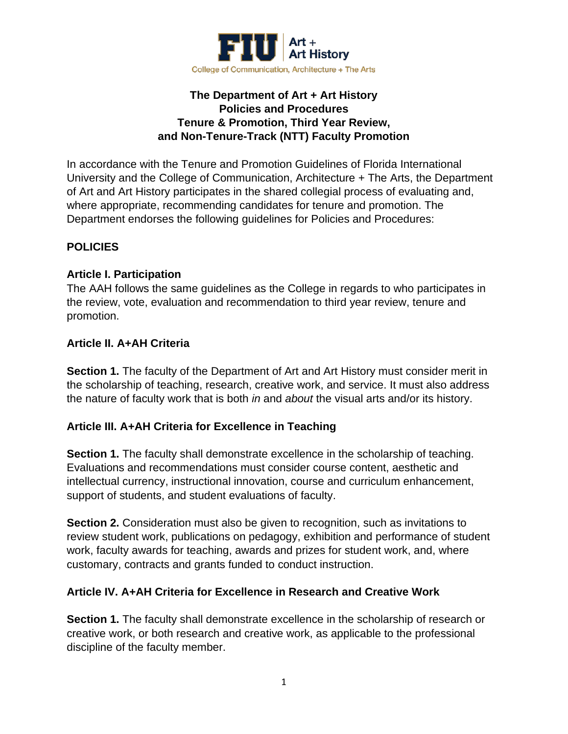

## **The Department of Art + Art History Policies and Procedures Tenure & Promotion, Third Year Review, and Non-Tenure-Track (NTT) Faculty Promotion**

In accordance with the Tenure and Promotion Guidelines of Florida International University and the College of Communication, Architecture + The Arts, the Department of Art and Art History participates in the shared collegial process of evaluating and, where appropriate, recommending candidates for tenure and promotion. The Department endorses the following guidelines for Policies and Procedures:

# **POLICIES**

## **Article I. Participation**

The AAH follows the same guidelines as the College in regards to who participates in the review, vote, evaluation and recommendation to third year review, tenure and promotion.

## **Article II. A+AH Criteria**

**Section 1.** The faculty of the Department of Art and Art History must consider merit in the scholarship of teaching, research, creative work, and service. It must also address the nature of faculty work that is both *in* and *about* the visual arts and/or its history.

## **Article III. A+AH Criteria for Excellence in Teaching**

**Section 1.** The faculty shall demonstrate excellence in the scholarship of teaching. Evaluations and recommendations must consider course content, aesthetic and intellectual currency, instructional innovation, course and curriculum enhancement, support of students, and student evaluations of faculty.

**Section 2.** Consideration must also be given to recognition, such as invitations to review student work, publications on pedagogy, exhibition and performance of student work, faculty awards for teaching, awards and prizes for student work, and, where customary, contracts and grants funded to conduct instruction.

## **Article IV. A+AH Criteria for Excellence in Research and Creative Work**

**Section 1.** The faculty shall demonstrate excellence in the scholarship of research or creative work, or both research and creative work, as applicable to the professional discipline of the faculty member.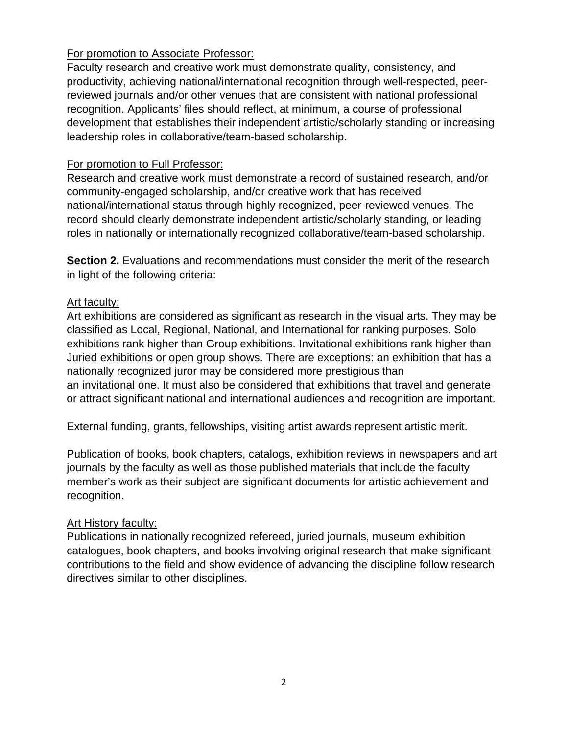## For promotion to Associate Professor:

Faculty research and creative work must demonstrate quality, consistency, and productivity, achieving national/international recognition through well-respected, peerreviewed journals and/or other venues that are consistent with national professional recognition. Applicants' files should reflect, at minimum, a course of professional development that establishes their independent artistic/scholarly standing or increasing leadership roles in collaborative/team-based scholarship.

#### For promotion to Full Professor:

Research and creative work must demonstrate a record of sustained research, and/or community-engaged scholarship, and/or creative work that has received national/international status through highly recognized, peer-reviewed venues. The record should clearly demonstrate independent artistic/scholarly standing, or leading roles in nationally or internationally recognized collaborative/team-based scholarship.

**Section 2.** Evaluations and recommendations must consider the merit of the research in light of the following criteria:

#### Art faculty:

Art exhibitions are considered as significant as research in the visual arts. They may be classified as Local, Regional, National, and International for ranking purposes. Solo exhibitions rank higher than Group exhibitions. Invitational exhibitions rank higher than Juried exhibitions or open group shows. There are exceptions: an exhibition that has a nationally recognized juror may be considered more prestigious than an invitational one. It must also be considered that exhibitions that travel and generate or attract significant national and international audiences and recognition are important.

External funding, grants, fellowships, visiting artist awards represent artistic merit.

Publication of books, book chapters, catalogs, exhibition reviews in newspapers and art journals by the faculty as well as those published materials that include the faculty member's work as their subject are significant documents for artistic achievement and recognition.

#### Art History faculty:

Publications in nationally recognized refereed, juried journals, museum exhibition catalogues, book chapters, and books involving original research that make significant contributions to the field and show evidence of advancing the discipline follow research directives similar to other disciplines.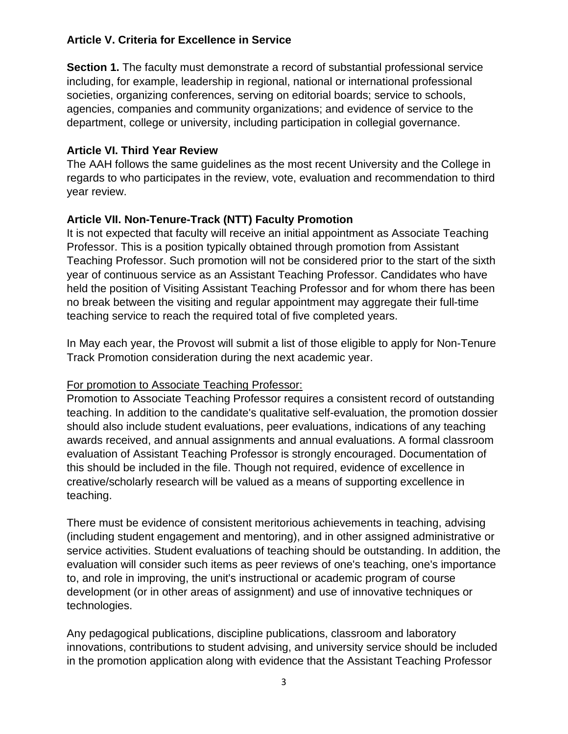## **Article V. Criteria for Excellence in Service**

**Section 1.** The faculty must demonstrate a record of substantial professional service including, for example, leadership in regional, national or international professional societies, organizing conferences, serving on editorial boards; service to schools, agencies, companies and community organizations; and evidence of service to the department, college or university, including participation in collegial governance.

## **Article VI. Third Year Review**

The AAH follows the same guidelines as the most recent University and the College in regards to who participates in the review, vote, evaluation and recommendation to third year review.

## **Article VII. Non-Tenure-Track (NTT) Faculty Promotion**

It is not expected that faculty will receive an initial appointment as Associate Teaching Professor. This is a position typically obtained through promotion from Assistant Teaching Professor. Such promotion will not be considered prior to the start of the sixth year of continuous service as an Assistant Teaching Professor. Candidates who have held the position of Visiting Assistant Teaching Professor and for whom there has been no break between the visiting and regular appointment may aggregate their full-time teaching service to reach the required total of five completed years.

In May each year, the Provost will submit a list of those eligible to apply for Non-Tenure Track Promotion consideration during the next academic year.

## For promotion to Associate Teaching Professor:

Promotion to Associate Teaching Professor requires a consistent record of outstanding teaching. In addition to the candidate's qualitative self-evaluation, the promotion dossier should also include student evaluations, peer evaluations, indications of any teaching awards received, and annual assignments and annual evaluations. A formal classroom evaluation of Assistant Teaching Professor is strongly encouraged. Documentation of this should be included in the file. Though not required, evidence of excellence in creative/scholarly research will be valued as a means of supporting excellence in teaching.

There must be evidence of consistent meritorious achievements in teaching, advising (including student engagement and mentoring), and in other assigned administrative or service activities. Student evaluations of teaching should be outstanding. In addition, the evaluation will consider such items as peer reviews of one's teaching, one's importance to, and role in improving, the unit's instructional or academic program of course development (or in other areas of assignment) and use of innovative techniques or technologies.

Any pedagogical publications, discipline publications, classroom and laboratory innovations, contributions to student advising, and university service should be included in the promotion application along with evidence that the Assistant Teaching Professor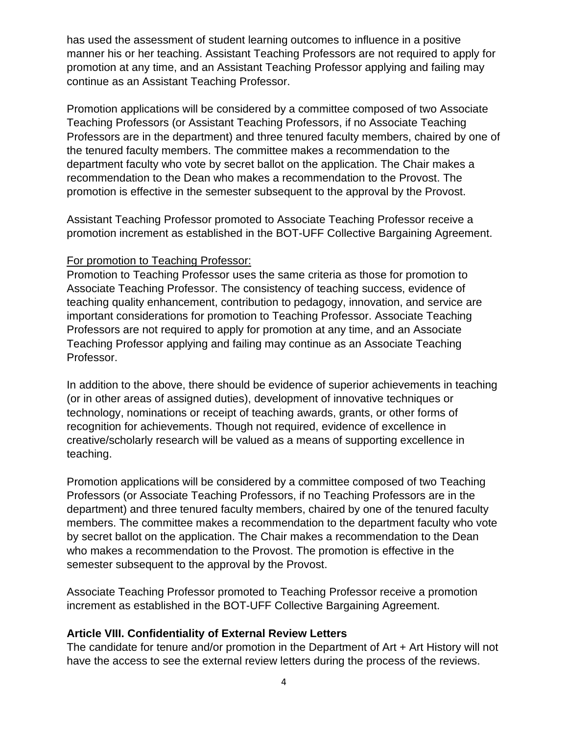has used the assessment of student learning outcomes to influence in a positive manner his or her teaching. Assistant Teaching Professors are not required to apply for promotion at any time, and an Assistant Teaching Professor applying and failing may continue as an Assistant Teaching Professor.

Promotion applications will be considered by a committee composed of two Associate Teaching Professors (or Assistant Teaching Professors, if no Associate Teaching Professors are in the department) and three tenured faculty members, chaired by one of the tenured faculty members. The committee makes a recommendation to the department faculty who vote by secret ballot on the application. The Chair makes a recommendation to the Dean who makes a recommendation to the Provost. The promotion is effective in the semester subsequent to the approval by the Provost.

Assistant Teaching Professor promoted to Associate Teaching Professor receive a promotion increment as established in the BOT-UFF Collective Bargaining Agreement.

#### For promotion to Teaching Professor:

Promotion to Teaching Professor uses the same criteria as those for promotion to Associate Teaching Professor. The consistency of teaching success, evidence of teaching quality enhancement, contribution to pedagogy, innovation, and service are important considerations for promotion to Teaching Professor. Associate Teaching Professors are not required to apply for promotion at any time, and an Associate Teaching Professor applying and failing may continue as an Associate Teaching Professor.

In addition to the above, there should be evidence of superior achievements in teaching (or in other areas of assigned duties), development of innovative techniques or technology, nominations or receipt of teaching awards, grants, or other forms of recognition for achievements. Though not required, evidence of excellence in creative/scholarly research will be valued as a means of supporting excellence in teaching.

Promotion applications will be considered by a committee composed of two Teaching Professors (or Associate Teaching Professors, if no Teaching Professors are in the department) and three tenured faculty members, chaired by one of the tenured faculty members. The committee makes a recommendation to the department faculty who vote by secret ballot on the application. The Chair makes a recommendation to the Dean who makes a recommendation to the Provost. The promotion is effective in the semester subsequent to the approval by the Provost.

Associate Teaching Professor promoted to Teaching Professor receive a promotion increment as established in the BOT-UFF Collective Bargaining Agreement.

## **Article VIII. Confidentiality of External Review Letters**

The candidate for tenure and/or promotion in the Department of Art + Art History will not have the access to see the external review letters during the process of the reviews.